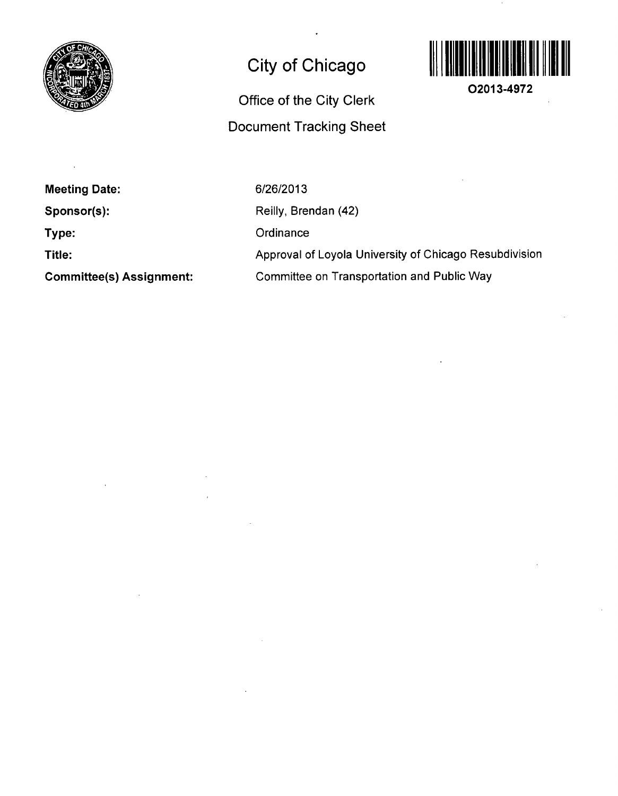

## **City of Chicago**

## **Office of the City Clerk Document Tracking Sheet**



**02013-4972** 

**Meeting Date:** 

**Sponsor(s):** 

**Type:** 

**Title:** 

**Committee(s) Assignment:** 

6/26/2013 Reilly, Brendan (42) **Ordinance** Approval of Loyola University of Chicago Resubdivision Committee on Transportation and Public Way